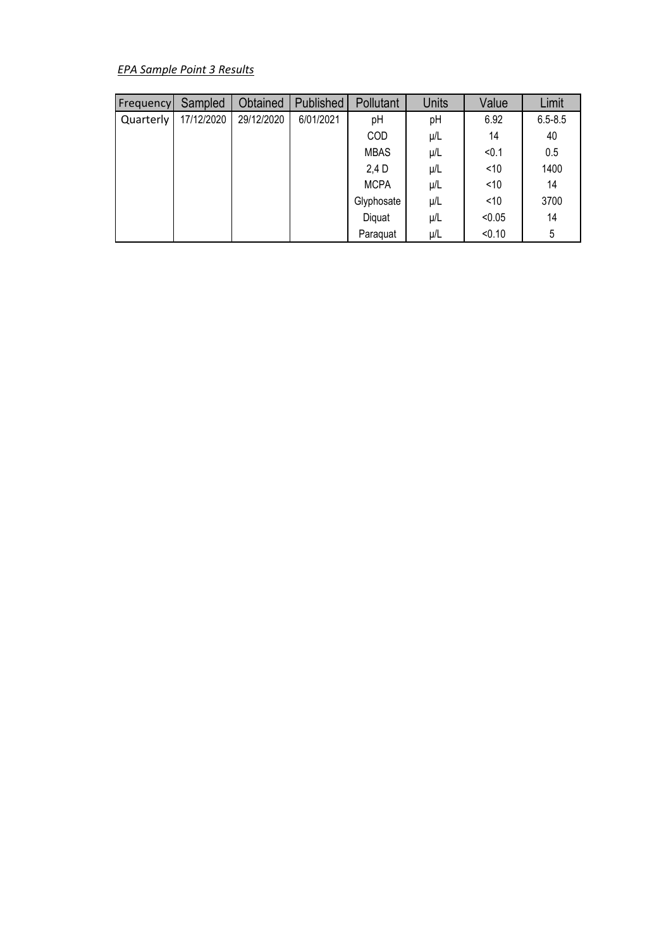*EPA Sample Point 3 Results*

| Frequency | Sampled    | Obtained   | Published | Pollutant   | <b>Units</b> | Value  | Limit       |
|-----------|------------|------------|-----------|-------------|--------------|--------|-------------|
| Quarterly | 17/12/2020 | 29/12/2020 | 6/01/2021 | pH          | pH           | 6.92   | $6.5 - 8.5$ |
|           |            |            |           | COD         | $\mu/L$      | 14     | 40          |
|           |            |            |           | <b>MBAS</b> | $\mu/L$      | < 0.1  | 0.5         |
|           |            |            |           | 2,4 D       | $\mu/L$      | $<$ 10 | 1400        |
|           |            |            |           | <b>MCPA</b> | $\mu/L$      | ~10    | 14          |
|           |            |            |           | Glyphosate  | $\mu/L$      | $<$ 10 | 3700        |
|           |            |            |           | Diquat      | μ/L          | < 0.05 | 14          |
|           |            |            |           | Paraquat    | μ/L          | < 0.10 | 5           |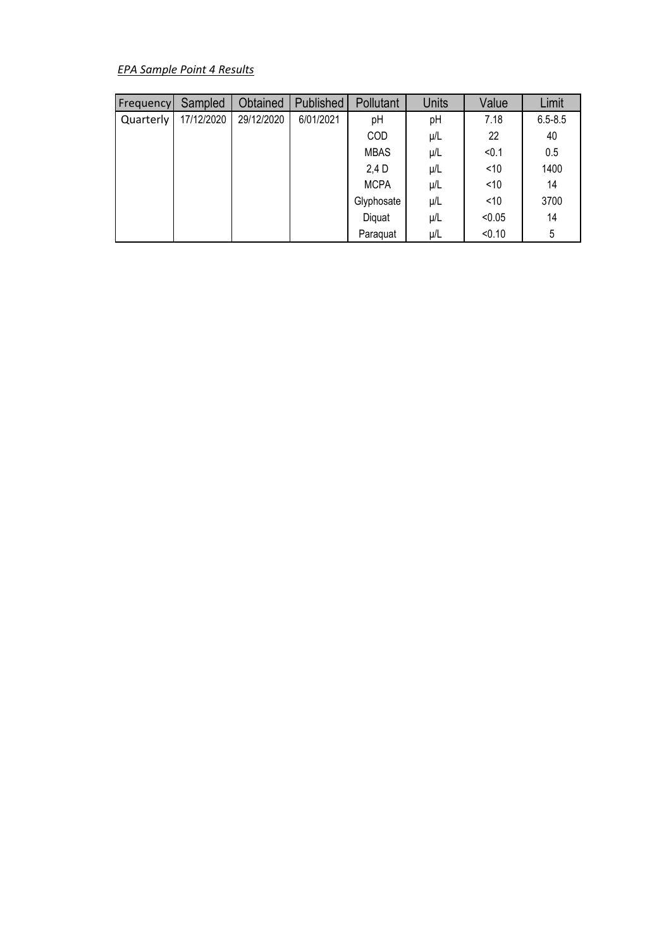## *EPA Sample Point 4 Results*

| Frequency | Sampled    | Obtained   | Published | Pollutant   | <b>Units</b> | Value  | Limit       |
|-----------|------------|------------|-----------|-------------|--------------|--------|-------------|
| Quarterly | 17/12/2020 | 29/12/2020 | 6/01/2021 | pH          | pH           | 7.18   | $6.5 - 8.5$ |
|           |            |            |           | <b>COD</b>  | $\mu/L$      | 22     | 40          |
|           |            |            |           | <b>MBAS</b> | μ/L          | < 0.1  | 0.5         |
|           |            |            |           | 2,4 D       | μ/L          | $<$ 10 | 1400        |
|           |            |            |           | <b>MCPA</b> | μ/L          | ~10    | 14          |
|           |            |            |           | Glyphosate  | μ/L          | ~10    | 3700        |
|           |            |            |           | Diquat      | μ/L          | < 0.05 | 14          |
|           |            |            |           | Paraquat    | μ/L          | < 0.10 | 5           |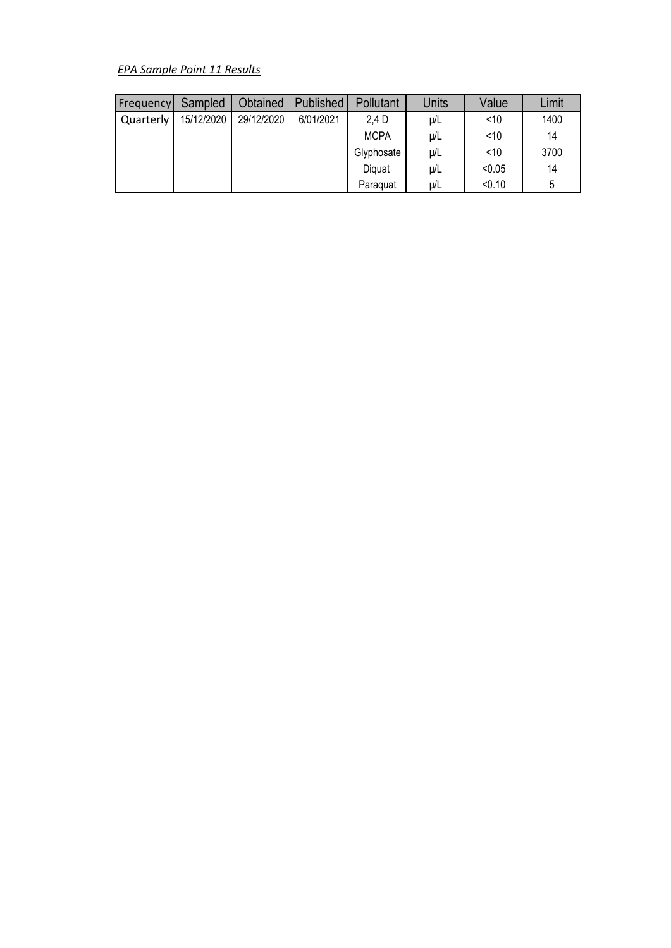## *EPA Sample Point 11 Results*

| Frequency | Sampled    | Obtained   | Published | Pollutant   | <b>Units</b> | Value  | Limit |
|-----------|------------|------------|-----------|-------------|--------------|--------|-------|
| Quarterly | 15/12/2020 | 29/12/2020 | 6/01/2021 | 2.4 D       | $\mu/L$      | ~10    | 1400  |
|           |            |            |           | <b>MCPA</b> | μ/L          | < 10   | 14    |
|           |            |            |           | Glyphosate  | μ/L          | < 10   | 3700  |
|           |            |            |           | Diguat      | μ/L          | < 0.05 | 14    |
|           |            |            |           | Paraguat    | $\mu/L$      | < 0.10 | 5     |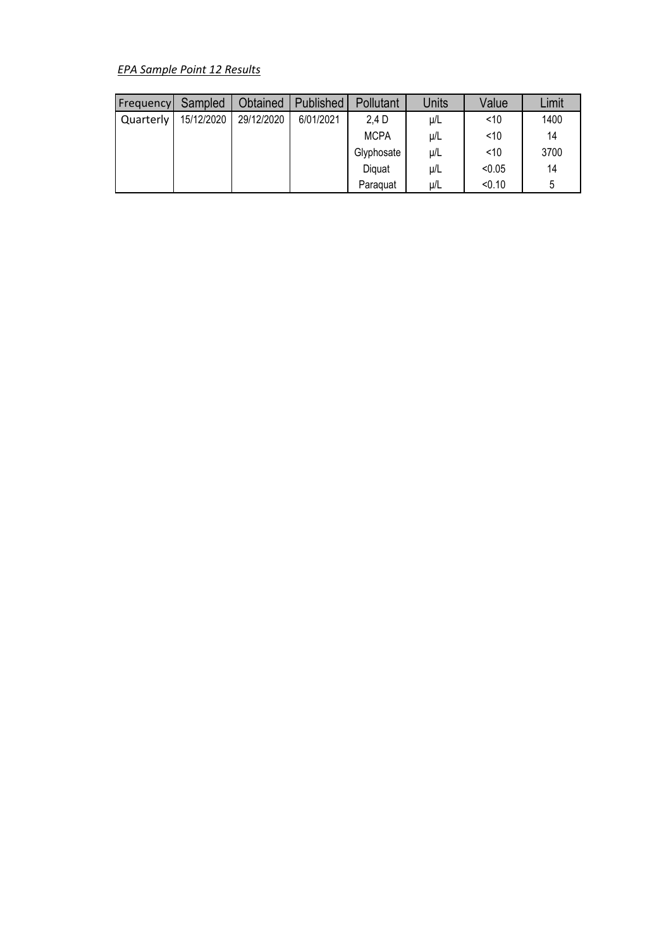## *EPA Sample Point 12 Results*

| Frequency | Sampled    | Obtained   | Published | Pollutant   | <b>Units</b> | Value  | Limit |
|-----------|------------|------------|-----------|-------------|--------------|--------|-------|
| Quarterly | 15/12/2020 | 29/12/2020 | 6/01/2021 | 2.4 D       | $\mu/L$      | ~10    | 1400  |
|           |            |            |           | <b>MCPA</b> | μ/L          | < 10   | 14    |
|           |            |            |           | Glyphosate  | μ/L          | < 10   | 3700  |
|           |            |            |           | Diguat      | μ/L          | < 0.05 | 14    |
|           |            |            |           | Paraguat    | $\mu/L$      | < 0.10 | 5     |